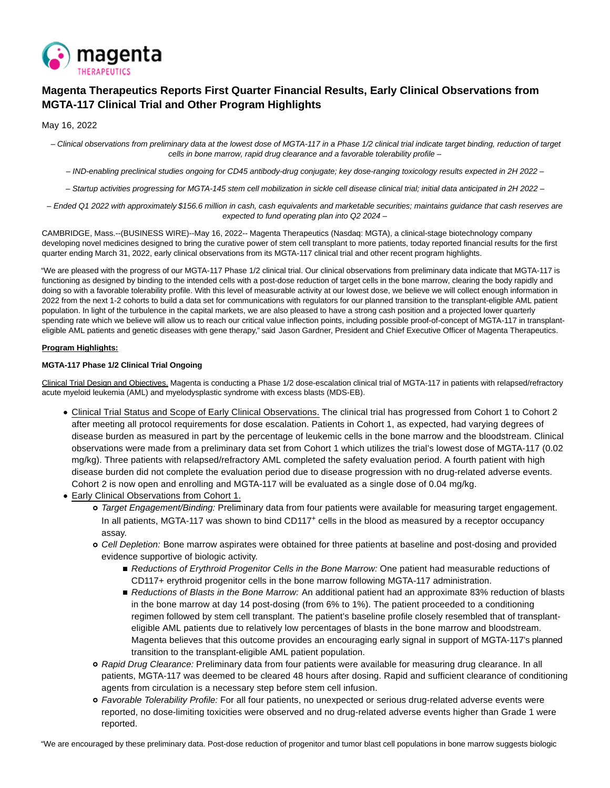

# **Magenta Therapeutics Reports First Quarter Financial Results, Early Clinical Observations from MGTA-117 Clinical Trial and Other Program Highlights**

May 16, 2022

 – Clinical observations from preliminary data at the lowest dose of MGTA-117 in a Phase 1/2 clinical trial indicate target binding, reduction of target cells in bone marrow, rapid drug clearance and a favorable tolerability profile –

– IND-enabling preclinical studies ongoing for CD45 antibody-drug conjugate; key dose-ranging toxicology results expected in 2H 2022 –

– Startup activities progressing for MGTA-145 stem cell mobilization in sickle cell disease clinical trial; initial data anticipated in 2H 2022 –

– Ended Q1 2022 with approximately \$156.6 million in cash, cash equivalents and marketable securities; maintains guidance that cash reserves are expected to fund operating plan into Q2 2024 –

CAMBRIDGE, Mass.--(BUSINESS WIRE)--May 16, 2022-- Magenta Therapeutics (Nasdaq: MGTA), a clinical-stage biotechnology company developing novel medicines designed to bring the curative power of stem cell transplant to more patients, today reported financial results for the first quarter ending March 31, 2022, early clinical observations from its MGTA-117 clinical trial and other recent program highlights.

"We are pleased with the progress of our MGTA-117 Phase 1/2 clinical trial. Our clinical observations from preliminary data indicate that MGTA-117 is functioning as designed by binding to the intended cells with a post-dose reduction of target cells in the bone marrow, clearing the body rapidly and doing so with a favorable tolerability profile. With this level of measurable activity at our lowest dose, we believe we will collect enough information in 2022 from the next 1-2 cohorts to build a data set for communications with regulators for our planned transition to the transplant-eligible AML patient population. In light of the turbulence in the capital markets, we are also pleased to have a strong cash position and a projected lower quarterly spending rate which we believe will allow us to reach our critical value inflection points, including possible proof-of-concept of MGTA-117 in transplanteligible AML patients and genetic diseases with gene therapy," said Jason Gardner, President and Chief Executive Officer of Magenta Therapeutics.

# **Program Highlights:**

# **MGTA-117 Phase 1/2 Clinical Trial Ongoing**

Clinical Trial Design and Objectives. Magenta is conducting a Phase 1/2 dose-escalation clinical trial of MGTA-117 in patients with relapsed/refractory acute myeloid leukemia (AML) and myelodysplastic syndrome with excess blasts (MDS-EB).

- Clinical Trial Status and Scope of Early Clinical Observations. The clinical trial has progressed from Cohort 1 to Cohort 2 after meeting all protocol requirements for dose escalation. Patients in Cohort 1, as expected, had varying degrees of disease burden as measured in part by the percentage of leukemic cells in the bone marrow and the bloodstream. Clinical observations were made from a preliminary data set from Cohort 1 which utilizes the trial's lowest dose of MGTA-117 (0.02 mg/kg). Three patients with relapsed/refractory AML completed the safety evaluation period. A fourth patient with high disease burden did not complete the evaluation period due to disease progression with no drug-related adverse events. Cohort 2 is now open and enrolling and MGTA-117 will be evaluated as a single dose of 0.04 mg/kg.
- Early Clinical Observations from Cohort 1.
	- o Target Engagement/Binding: Preliminary data from four patients were available for measuring target engagement. In all patients, MGTA-117 was shown to bind CD117<sup>+</sup> cells in the blood as measured by a receptor occupancy assay.
	- Cell Depletion: Bone marrow aspirates were obtained for three patients at baseline and post-dosing and provided evidence supportive of biologic activity.
		- Reductions of Erythroid Progenitor Cells in the Bone Marrow: One patient had measurable reductions of CD117+ erythroid progenitor cells in the bone marrow following MGTA-117 administration.
		- Reductions of Blasts in the Bone Marrow: An additional patient had an approximate 83% reduction of blasts in the bone marrow at day 14 post-dosing (from 6% to 1%). The patient proceeded to a conditioning regimen followed by stem cell transplant. The patient's baseline profile closely resembled that of transplanteligible AML patients due to relatively low percentages of blasts in the bone marrow and bloodstream. Magenta believes that this outcome provides an encouraging early signal in support of MGTA-117's planned transition to the transplant-eligible AML patient population.
	- Rapid Drug Clearance: Preliminary data from four patients were available for measuring drug clearance. In all patients, MGTA-117 was deemed to be cleared 48 hours after dosing. Rapid and sufficient clearance of conditioning agents from circulation is a necessary step before stem cell infusion.
	- o Favorable Tolerability Profile: For all four patients, no unexpected or serious drug-related adverse events were reported, no dose-limiting toxicities were observed and no drug-related adverse events higher than Grade 1 were reported.

"We are encouraged by these preliminary data. Post-dose reduction of progenitor and tumor blast cell populations in bone marrow suggests biologic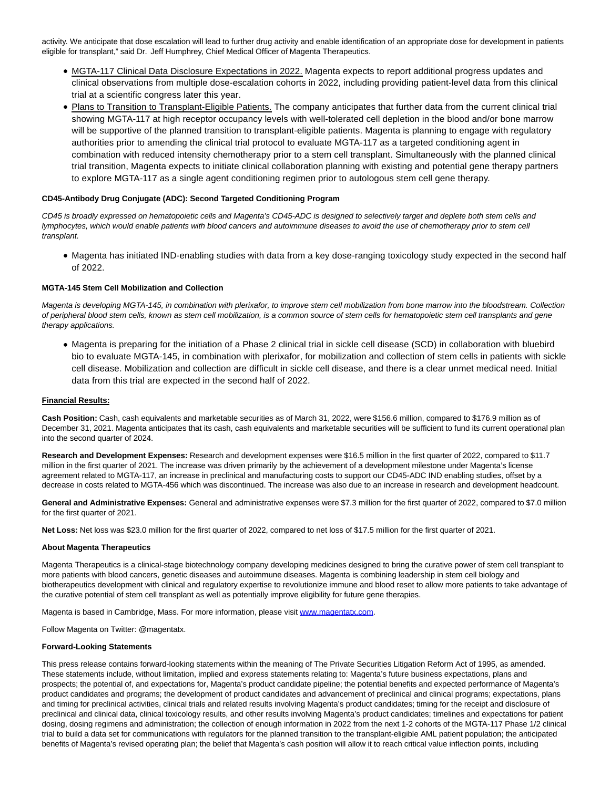activity. We anticipate that dose escalation will lead to further drug activity and enable identification of an appropriate dose for development in patients eligible for transplant," said Dr. Jeff Humphrey, Chief Medical Officer of Magenta Therapeutics.

- MGTA-117 Clinical Data Disclosure Expectations in 2022. Magenta expects to report additional progress updates and clinical observations from multiple dose-escalation cohorts in 2022, including providing patient-level data from this clinical trial at a scientific congress later this year.
- Plans to Transition to Transplant-Eligible Patients. The company anticipates that further data from the current clinical trial showing MGTA-117 at high receptor occupancy levels with well-tolerated cell depletion in the blood and/or bone marrow will be supportive of the planned transition to transplant-eligible patients. Magenta is planning to engage with regulatory authorities prior to amending the clinical trial protocol to evaluate MGTA-117 as a targeted conditioning agent in combination with reduced intensity chemotherapy prior to a stem cell transplant. Simultaneously with the planned clinical trial transition, Magenta expects to initiate clinical collaboration planning with existing and potential gene therapy partners to explore MGTA-117 as a single agent conditioning regimen prior to autologous stem cell gene therapy.

### **CD45-Antibody Drug Conjugate (ADC): Second Targeted Conditioning Program**

CD45 is broadly expressed on hematopoietic cells and Magenta's CD45-ADC is designed to selectively target and deplete both stem cells and lymphocytes, which would enable patients with blood cancers and autoimmune diseases to avoid the use of chemotherapy prior to stem cell transplant.

Magenta has initiated IND-enabling studies with data from a key dose-ranging toxicology study expected in the second half of 2022.

### **MGTA-145 Stem Cell Mobilization and Collection**

Magenta is developing MGTA-145, in combination with plerixafor, to improve stem cell mobilization from bone marrow into the bloodstream. Collection of peripheral blood stem cells, known as stem cell mobilization, is a common source of stem cells for hematopoietic stem cell transplants and gene therapy applications.

Magenta is preparing for the initiation of a Phase 2 clinical trial in sickle cell disease (SCD) in collaboration with bluebird bio to evaluate MGTA-145, in combination with plerixafor, for mobilization and collection of stem cells in patients with sickle cell disease. Mobilization and collection are difficult in sickle cell disease, and there is a clear unmet medical need. Initial data from this trial are expected in the second half of 2022.

#### **Financial Results:**

**Cash Position:** Cash, cash equivalents and marketable securities as of March 31, 2022, were \$156.6 million, compared to \$176.9 million as of December 31, 2021. Magenta anticipates that its cash, cash equivalents and marketable securities will be sufficient to fund its current operational plan into the second quarter of 2024.

**Research and Development Expenses:** Research and development expenses were \$16.5 million in the first quarter of 2022, compared to \$11.7 million in the first quarter of 2021. The increase was driven primarily by the achievement of a development milestone under Magenta's license agreement related to MGTA-117, an increase in preclinical and manufacturing costs to support our CD45-ADC IND enabling studies, offset by a decrease in costs related to MGTA-456 which was discontinued. The increase was also due to an increase in research and development headcount.

General and Administrative Expenses: General and administrative expenses were \$7.3 million for the first quarter of 2022, compared to \$7.0 million for the first quarter of 2021.

**Net Loss:** Net loss was \$23.0 million for the first quarter of 2022, compared to net loss of \$17.5 million for the first quarter of 2021.

#### **About Magenta Therapeutics**

Magenta Therapeutics is a clinical-stage biotechnology company developing medicines designed to bring the curative power of stem cell transplant to more patients with blood cancers, genetic diseases and autoimmune diseases. Magenta is combining leadership in stem cell biology and biotherapeutics development with clinical and regulatory expertise to revolutionize immune and blood reset to allow more patients to take advantage of the curative potential of stem cell transplant as well as potentially improve eligibility for future gene therapies.

Magenta is based in Cambridge, Mass. For more information, please visi[t www.magentatx.com.](https://cts.businesswire.com/ct/CT?id=smartlink&url=http%3A%2F%2Fwww.magentatx.com&esheet=52720032&newsitemid=20220516005365&lan=en-US&anchor=www.magentatx.com&index=1&md5=d50c4d4fd761d4e473b21981ee065357)

Follow Magenta on Twitter: @magentatx.

#### **Forward-Looking Statements**

This press release contains forward-looking statements within the meaning of The Private Securities Litigation Reform Act of 1995, as amended. These statements include, without limitation, implied and express statements relating to: Magenta's future business expectations, plans and prospects; the potential of, and expectations for, Magenta's product candidate pipeline; the potential benefits and expected performance of Magenta's product candidates and programs; the development of product candidates and advancement of preclinical and clinical programs; expectations, plans and timing for preclinical activities, clinical trials and related results involving Magenta's product candidates; timing for the receipt and disclosure of preclinical and clinical data, clinical toxicology results, and other results involving Magenta's product candidates; timelines and expectations for patient dosing, dosing regimens and administration; the collection of enough information in 2022 from the next 1-2 cohorts of the MGTA-117 Phase 1/2 clinical trial to build a data set for communications with regulators for the planned transition to the transplant-eligible AML patient population; the anticipated benefits of Magenta's revised operating plan; the belief that Magenta's cash position will allow it to reach critical value inflection points, including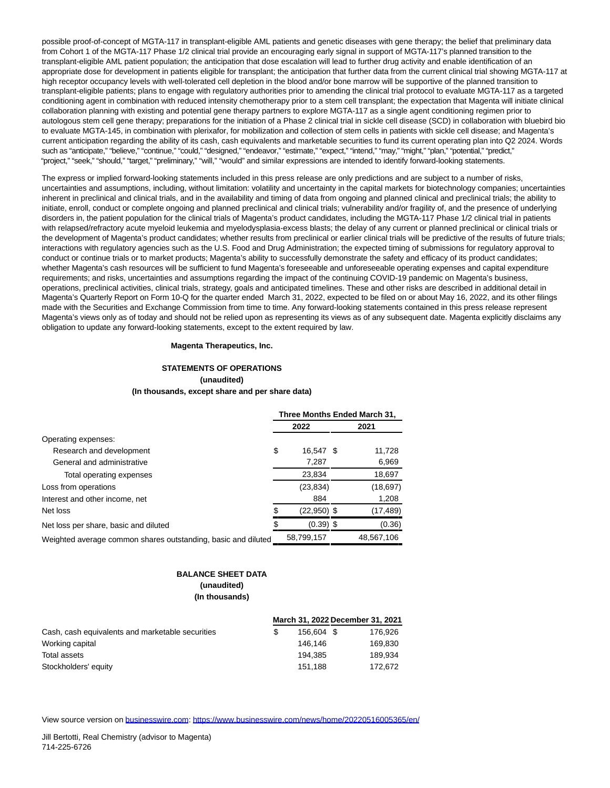possible proof-of-concept of MGTA-117 in transplant-eligible AML patients and genetic diseases with gene therapy; the belief that preliminary data from Cohort 1 of the MGTA-117 Phase 1/2 clinical trial provide an encouraging early signal in support of MGTA-117's planned transition to the transplant-eligible AML patient population; the anticipation that dose escalation will lead to further drug activity and enable identification of an appropriate dose for development in patients eligible for transplant; the anticipation that further data from the current clinical trial showing MGTA-117 at high receptor occupancy levels with well-tolerated cell depletion in the blood and/or bone marrow will be supportive of the planned transition to transplant-eligible patients; plans to engage with regulatory authorities prior to amending the clinical trial protocol to evaluate MGTA-117 as a targeted conditioning agent in combination with reduced intensity chemotherapy prior to a stem cell transplant; the expectation that Magenta will initiate clinical collaboration planning with existing and potential gene therapy partners to explore MGTA-117 as a single agent conditioning regimen prior to autologous stem cell gene therapy; preparations for the initiation of a Phase 2 clinical trial in sickle cell disease (SCD) in collaboration with bluebird bio to evaluate MGTA-145, in combination with plerixafor, for mobilization and collection of stem cells in patients with sickle cell disease; and Magenta's current anticipation regarding the ability of its cash, cash equivalents and marketable securities to fund its current operating plan into Q2 2024. Words such as "anticipate," "believe," "continue," "could," "designed," "endeavor," "estimate," "expect," "intend," "may," "might," "plan," "potential," "predict," "project," "seek," "should," "target," "preliminary," "will," "would" and similar expressions are intended to identify forward-looking statements.

The express or implied forward-looking statements included in this press release are only predictions and are subject to a number of risks, uncertainties and assumptions, including, without limitation: volatility and uncertainty in the capital markets for biotechnology companies; uncertainties inherent in preclinical and clinical trials, and in the availability and timing of data from ongoing and planned clinical and preclinical trials; the ability to initiate, enroll, conduct or complete ongoing and planned preclinical and clinical trials; vulnerability and/or fragility of, and the presence of underlying disorders in, the patient population for the clinical trials of Magenta's product candidates, including the MGTA-117 Phase 1/2 clinical trial in patients with relapsed/refractory acute myeloid leukemia and myelodysplasia-excess blasts; the delay of any current or planned preclinical or clinical trials or the development of Magenta's product candidates; whether results from preclinical or earlier clinical trials will be predictive of the results of future trials; interactions with regulatory agencies such as the U.S. Food and Drug Administration; the expected timing of submissions for regulatory approval to conduct or continue trials or to market products; Magenta's ability to successfully demonstrate the safety and efficacy of its product candidates; whether Magenta's cash resources will be sufficient to fund Magenta's foreseeable and unforeseeable operating expenses and capital expenditure requirements; and risks, uncertainties and assumptions regarding the impact of the continuing COVID-19 pandemic on Magenta's business, operations, preclinical activities, clinical trials, strategy, goals and anticipated timelines. These and other risks are described in additional detail in Magenta's Quarterly Report on Form 10-Q for the quarter ended March 31, 2022, expected to be filed on or about May 16, 2022, and its other filings made with the Securities and Exchange Commission from time to time. Any forward-looking statements contained in this press release represent Magenta's views only as of today and should not be relied upon as representing its views as of any subsequent date. Magenta explicitly disclaims any obligation to update any forward-looking statements, except to the extent required by law.

### **Magenta Therapeutics, Inc.**

### **STATEMENTS OF OPERATIONS (unaudited) (In thousands, except share and per share data)**

|                                                               |      |               | Three Months Ended March 31, |            |  |
|---------------------------------------------------------------|------|---------------|------------------------------|------------|--|
|                                                               | 2022 |               |                              | 2021       |  |
| Operating expenses:                                           |      |               |                              |            |  |
| Research and development                                      | \$   | 16.547 \$     |                              | 11,728     |  |
| General and administrative                                    |      | 7,287         |                              | 6,969      |  |
| Total operating expenses                                      |      | 23,834        |                              | 18,697     |  |
| Loss from operations                                          |      | (23, 834)     |                              | (18, 697)  |  |
| Interest and other income, net                                |      | 884           |                              | 1,208      |  |
| Net loss                                                      | S    | $(22,950)$ \$ |                              | (17,489)   |  |
| Net loss per share, basic and diluted                         |      | $(0.39)$ \$   |                              | (0.36)     |  |
| Weighted average common shares outstanding, basic and diluted |      | 58,799,157    |                              | 48.567.106 |  |

# **BALANCE SHEET DATA (unaudited) (In thousands)**

|                                                  | March 31, 2022 December 31, 2021 |         |
|--------------------------------------------------|----------------------------------|---------|
| Cash, cash equivalents and marketable securities | 156.604 \$                       | 176.926 |
| Working capital                                  | 146.146                          | 169.830 |
| Total assets                                     | 194.385                          | 189.934 |
| Stockholders' equity                             | 151.188                          | 172.672 |

View source version on [businesswire.com:](http://businesswire.com/)<https://www.businesswire.com/news/home/20220516005365/en/>